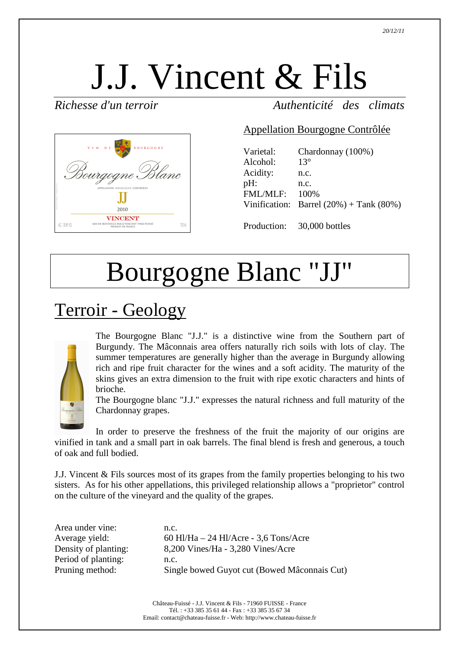# J.J. Vincent & Fils

*Richesse d'un terroir Authenticité des climats*



#### Appellation Bourgogne Contrôlée

| Varietal:<br>Alcohol: | Chardonnay (100%)<br>$13^\circ$               |
|-----------------------|-----------------------------------------------|
| Acidity:              | n.c.                                          |
| $pH$ :                | n.c.                                          |
| FML/MLF:              | 100%                                          |
|                       | Vinification: Barrel $(20\%)$ + Tank $(80\%)$ |
|                       |                                               |

Production: 30,000 bottles

## Bourgogne Blanc "JJ"

### Terroir - Geology



The Bourgogne Blanc "J.J." is a distinctive wine from the Southern part of Burgundy. The Mâconnais area offers naturally rich soils with lots of clay. The summer temperatures are generally higher than the average in Burgundy allowing rich and ripe fruit character for the wines and a soft acidity. The maturity of the skins gives an extra dimension to the fruit with ripe exotic characters and hints of brioche.

The Bourgogne blanc "J.J." expresses the natural richness and full maturity of the Chardonnay grapes.

In order to preserve the freshness of the fruit the majority of our origins are vinified in tank and a small part in oak barrels. The final blend is fresh and generous, a touch of oak and full bodied.

J.J. Vincent & Fils sources most of its grapes from the family properties belonging to his two sisters. As for his other appellations, this privileged relationship allows a "proprietor" control on the culture of the vineyard and the quality of the grapes.

Area under vine: n.c. Period of planting: n.c.

Average yield: 60 Hl/Ha – 24 Hl/Acre - 3,6 Tons/Acre Density of planting: 8,200 Vines/Ha - 3,280 Vines/Acre Pruning method: Single bowed Guyot cut (Bowed Mâconnais Cut)